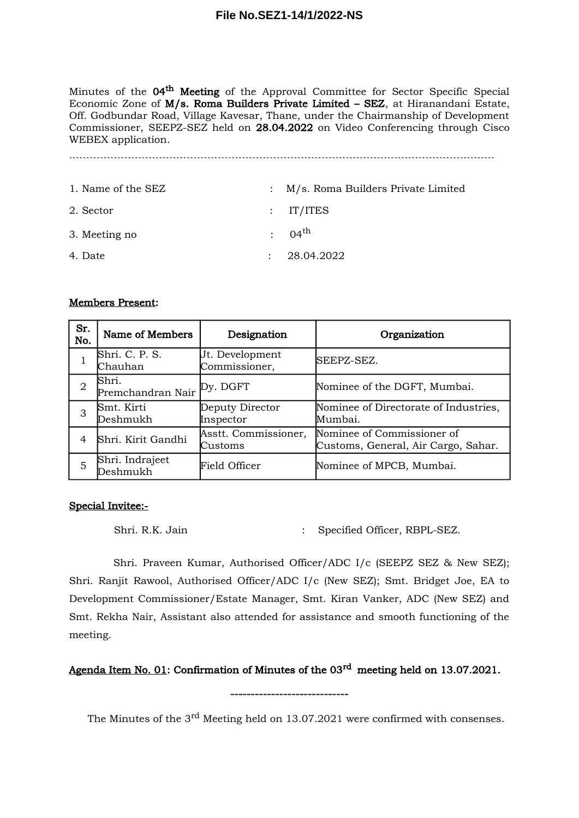## **File No.SEZ1-14/1/2022-NS**

Minutes of the 04<sup>th</sup> Meeting of the Approval Committee for Sector Specific Special Economic Zone of M/s. Roma Builders Private Limited – SEZ, at Hiranandani Estate, Off. Godbundar Road, Village Kavesar, Thane, under the Chairmanship of Development Commissioner, SEEPZ-SEZ held on 28.04.2022 on Video Conferencing through Cisco WEBEX application.

```````````````````````````````````````````````````````````````````````````````````````````````````````````````````````````

| 1. Name of the SEZ | : M/s. Roma Builders Private Limited |
|--------------------|--------------------------------------|
| 2. Sector          | $:$ IT/ITES                          |
| 3. Meeting no      | $: 04^{\text{th}}$                   |
| 4. Date            | : 28.04.2022                         |

## Members Present:

| Sr.<br>No. | Name of Members                     | Designation                      | Organization                                                      |
|------------|-------------------------------------|----------------------------------|-------------------------------------------------------------------|
|            | Shri. C. P. S.<br>Chauhan           | Jt. Development<br>Commissioner, | SEEPZ-SEZ.                                                        |
| 2          | Shri.<br>Premchandran Nair Py. DGFT |                                  | Nominee of the DGFT, Mumbai.                                      |
| 3          | Smt. Kirti<br>Deshmukh              | Deputy Director<br>Inspector     | Nominee of Directorate of Industries,<br>Mumbai.                  |
| 4          | Shri. Kirit Gandhi                  | Asstt. Commissioner,<br>Customs  | Nominee of Commissioner of<br>Customs, General, Air Cargo, Sahar. |
| 5          | Shri. Indrajeet<br>Deshmukh         | Field Officer                    | Nominee of MPCB, Mumbai.                                          |

## Special Invitee:-

Shri. R.K. Jain : Specified Officer, RBPL-SEZ.

Shri. Praveen Kumar, Authorised Officer/ADC I/c (SEEPZ SEZ & New SEZ); Shri. Ranjit Rawool, Authorised Officer/ADC I/c (New SEZ); Smt. Bridget Joe, EA to Development Commissioner/Estate Manager, Smt. Kiran Vanker, ADC (New SEZ) and Smt. Rekha Nair, Assistant also attended for assistance and smooth functioning of the meeting.

## Agenda Item No. 01: Confirmation of Minutes of the 03<sup>rd</sup> meeting held on 13.07.2021.

-----------------------------

The Minutes of the 3<sup>rd</sup> Meeting held on 13.07.2021 were confirmed with consenses.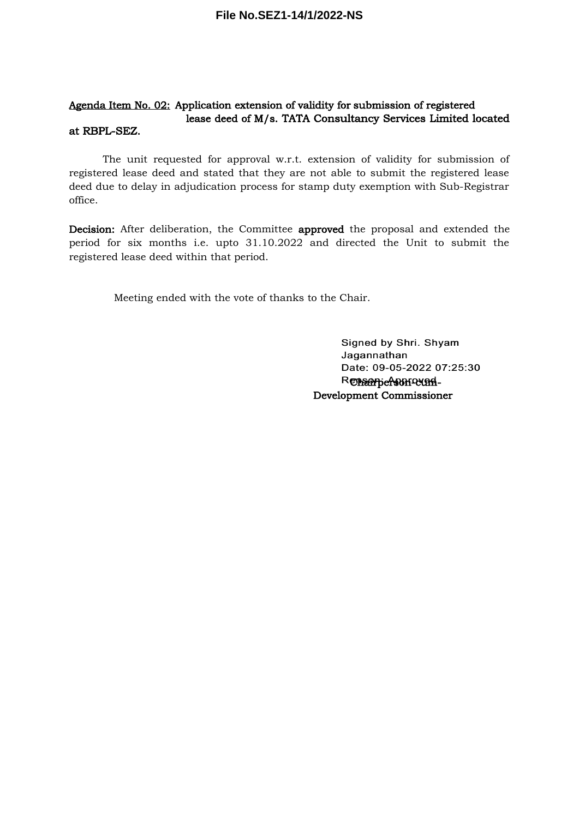#### Agenda Item No. 02: Application extension of validity for submission of registered lease deed of M/s. TATA Consultancy Services Limited located at RBPL-SEZ.

The unit requested for approval w.r.t. extension of validity for submission of registered lease deed and stated that they are not able to submit the registered lease deed due to delay in adjudication process for stamp duty exemption with Sub-Registrar office.

Decision: After deliberation, the Committee approved the proposal and extended the period for six months i.e. upto 31.10.2022 and directed the Unit to submit the registered lease deed within that period.

Meeting ended with the vote of thanks to the Chair.

Signed by Shri. Shyam Jagannathan Date: 09-05-2022 07:25:30 Renearberson-cum-Development Commissioner